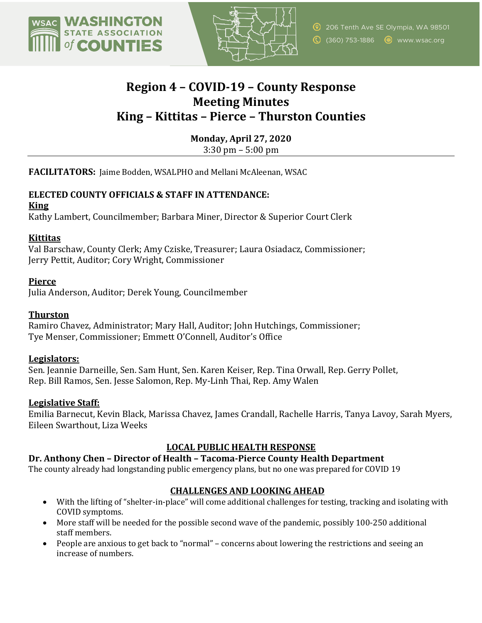



# **Region 4 – COVID-19 – County Response Meeting Minutes King – Kittitas – Pierce – Thurston Counties**

**Monday, April 27, 2020** 

 $3:30 \text{ pm} - 5:00 \text{ pm}$ 

**FACILITATORS:** Jaime Bodden, WSALPHO and Mellani McAleenan, WSAC

# **ELECTED COUNTY OFFICIALS & STAFF IN ATTENDANCE:**

#### **King**

Kathy Lambert, Councilmember; Barbara Miner, Director & Superior Court Clerk

## **Kittitas**

Val Barschaw, County Clerk; Amy Cziske, Treasurer; Laura Osiadacz, Commissioner; Jerry Pettit, Auditor; Cory Wright, Commissioner

## **Pierce**

Julia Anderson, Auditor; Derek Young, Councilmember

#### **Thurston**

Ramiro Chavez, Administrator; Mary Hall, Auditor; John Hutchings, Commissioner; Tye Menser, Commissioner; Emmett O'Connell, Auditor's Office

#### **Legislators:**

Sen. Jeannie Darneille, Sen. Sam Hunt, Sen. Karen Keiser, Rep. Tina Orwall, Rep. Gerry Pollet, Rep. Bill Ramos, Sen. Jesse Salomon, Rep. My-Linh Thai, Rep. Amy Walen

#### **Legislative Staff:**

Emilia Barnecut, Kevin Black, Marissa Chavez, James Crandall, Rachelle Harris, Tanya Lavoy, Sarah Myers, Eileen Swarthout, Liza Weeks

# **LOCAL PUBLIC HEALTH RESPONSE**

#### **Dr. Anthony Chen – Director of Health – Tacoma-Pierce County Health Department**

The county already had longstanding public emergency plans, but no one was prepared for COVID 19

# **CHALLENGES AND LOOKING AHEAD**

- With the lifting of "shelter-in-place" will come additional challenges for testing, tracking and isolating with COVID symptoms.
- More staff will be needed for the possible second wave of the pandemic, possibly 100-250 additional staff members.
- People are anxious to get back to "normal" concerns about lowering the restrictions and seeing an increase of numbers.